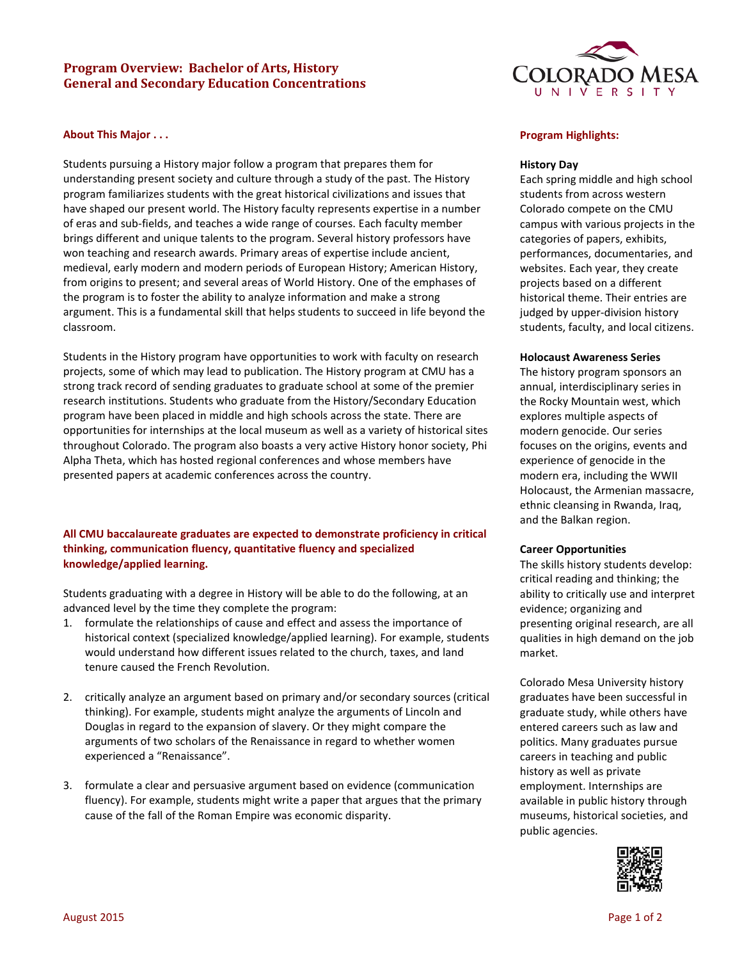# **Program Overview: Bachelor of Arts, History General and Secondary Education Concentrations**

### **About This Major . . .**

Students pursuing a History major follow a program that prepares them for understanding present society and culture through a study of the past. The History program familiarizes students with the great historical civilizations and issues that have shaped our present world. The History faculty represents expertise in a number of eras and sub-fields, and teaches a wide range of courses. Each faculty member brings different and unique talents to the program. Several history professors have won teaching and research awards. Primary areas of expertise include ancient, medieval, early modern and modern periods of European History; American History, from origins to present; and several areas of World History. One of the emphases of the program is to foster the ability to analyze information and make a strong argument. This is a fundamental skill that helps students to succeed in life beyond the classroom.

Students in the History program have opportunities to work with faculty on research projects, some of which may lead to publication. The History program at CMU has a strong track record of sending graduates to graduate school at some of the premier research institutions. Students who graduate from the History/Secondary Education program have been placed in middle and high schools across the state. There are opportunities for internships at the local museum as well as a variety of historical sites throughout Colorado. The program also boasts a very active History honor society, Phi Alpha Theta, which has hosted regional conferences and whose members have presented papers at academic conferences across the country.

## **All CMU baccalaureate graduates are expected to demonstrate proficiency in critical thinking, communication fluency, quantitative fluency and specialized knowledge/applied learning.**

Students graduating with a degree in History will be able to do the following, at an advanced level by the time they complete the program:

- 1. formulate the relationships of cause and effect and assess the importance of historical context (specialized knowledge/applied learning). For example, students would understand how different issues related to the church, taxes, and land tenure caused the French Revolution.
- 2. critically analyze an argument based on primary and/or secondary sources (critical thinking). For example, students might analyze the arguments of Lincoln and Douglas in regard to the expansion of slavery. Or they might compare the arguments of two scholars of the Renaissance in regard to whether women experienced a "Renaissance".
- 3. formulate a clear and persuasive argument based on evidence (communication fluency). For example, students might write a paper that argues that the primary cause of the fall of the Roman Empire was economic disparity.



#### **Program Highlights:**

#### **History Day**

Each spring middle and high school students from across western Colorado compete on the CMU campus with various projects in the categories of papers, exhibits, performances, documentaries, and websites. Each year, they create projects based on a different historical theme. Their entries are judged by upper-division history students, faculty, and local citizens.

#### **Holocaust Awareness Series**

The history program sponsors an annual, interdisciplinary series in the Rocky Mountain west, which explores multiple aspects of modern genocide. Our series focuses on the origins, events and experience of genocide in the modern era, including the WWII Holocaust, the Armenian massacre, ethnic cleansing in Rwanda, Iraq, and the Balkan region.

#### **Career Opportunities**

The skills history students develop: critical reading and thinking; the ability to critically use and interpret evidence; organizing and presenting original research, are all qualities in high demand on the job market.

Colorado Mesa University history graduates have been successful in graduate study, while others have entered careers such as law and politics. Many graduates pursue careers in teaching and public history as well as private employment. Internships are available in public history through museums, historical societies, and public agencies.